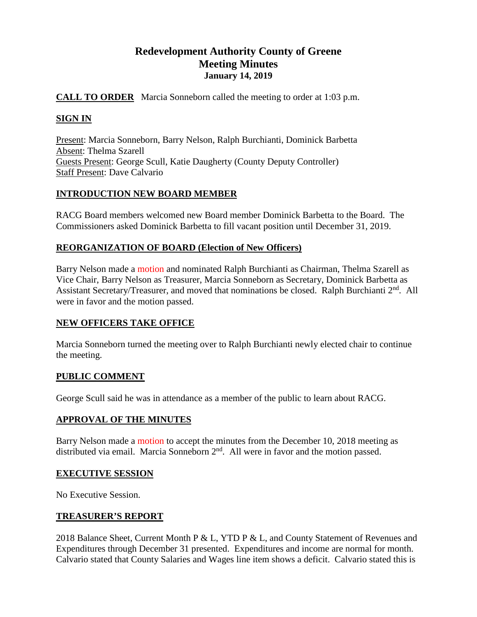# **Redevelopment Authority County of Greene Meeting Minutes January 14, 2019**

# **CALL TO ORDER** Marcia Sonneborn called the meeting to order at 1:03 p.m.

# **SIGN IN**

Present: Marcia Sonneborn, Barry Nelson, Ralph Burchianti, Dominick Barbetta Absent: Thelma Szarell Guests Present: George Scull, Katie Daugherty (County Deputy Controller) Staff Present: Dave Calvario

# **INTRODUCTION NEW BOARD MEMBER**

RACG Board members welcomed new Board member Dominick Barbetta to the Board. The Commissioners asked Dominick Barbetta to fill vacant position until December 31, 2019.

# **REORGANIZATION OF BOARD (Election of New Officers)**

Barry Nelson made a motion and nominated Ralph Burchianti as Chairman, Thelma Szarell as Vice Chair, Barry Nelson as Treasurer, Marcia Sonneborn as Secretary, Dominick Barbetta as Assistant Secretary/Treasurer, and moved that nominations be closed. Ralph Burchianti 2<sup>nd</sup>. All were in favor and the motion passed.

### **NEW OFFICERS TAKE OFFICE**

Marcia Sonneborn turned the meeting over to Ralph Burchianti newly elected chair to continue the meeting.

### **PUBLIC COMMENT**

George Scull said he was in attendance as a member of the public to learn about RACG.

### **APPROVAL OF THE MINUTES**

Barry Nelson made a motion to accept the minutes from the December 10, 2018 meeting as distributed via email. Marcia Sonneborn 2<sup>nd</sup>. All were in favor and the motion passed.

### **EXECUTIVE SESSION**

No Executive Session.

### **TREASURER'S REPORT**

2018 Balance Sheet, Current Month P & L, YTD P & L, and County Statement of Revenues and Expenditures through December 31 presented. Expenditures and income are normal for month. Calvario stated that County Salaries and Wages line item shows a deficit. Calvario stated this is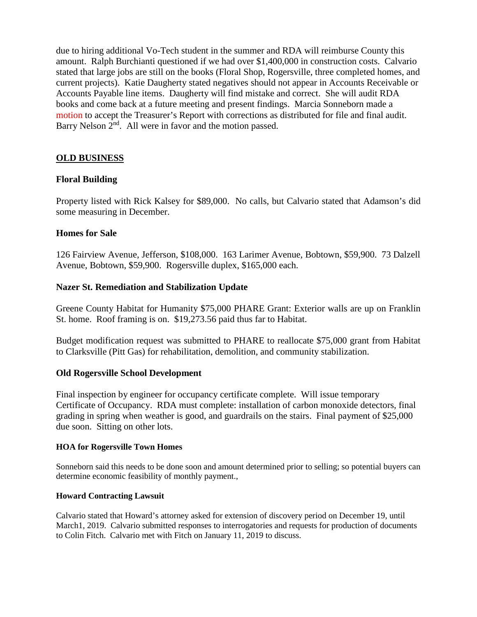due to hiring additional Vo-Tech student in the summer and RDA will reimburse County this amount. Ralph Burchianti questioned if we had over \$1,400,000 in construction costs. Calvario stated that large jobs are still on the books (Floral Shop, Rogersville, three completed homes, and current projects). Katie Daugherty stated negatives should not appear in Accounts Receivable or Accounts Payable line items. Daugherty will find mistake and correct. She will audit RDA books and come back at a future meeting and present findings. Marcia Sonneborn made a motion to accept the Treasurer's Report with corrections as distributed for file and final audit. Barry Nelson  $2<sup>nd</sup>$ . All were in favor and the motion passed.

# **OLD BUSINESS**

# **Floral Building**

Property listed with Rick Kalsey for \$89,000. No calls, but Calvario stated that Adamson's did some measuring in December.

### **Homes for Sale**

126 Fairview Avenue, Jefferson, \$108,000. 163 Larimer Avenue, Bobtown, \$59,900. 73 Dalzell Avenue, Bobtown, \$59,900. Rogersville duplex, \$165,000 each.

### **Nazer St. Remediation and Stabilization Update**

Greene County Habitat for Humanity \$75,000 PHARE Grant: Exterior walls are up on Franklin St. home. Roof framing is on. \$19,273.56 paid thus far to Habitat.

Budget modification request was submitted to PHARE to reallocate \$75,000 grant from Habitat to Clarksville (Pitt Gas) for rehabilitation, demolition, and community stabilization.

### **Old Rogersville School Development**

Final inspection by engineer for occupancy certificate complete. Will issue temporary Certificate of Occupancy. RDA must complete: installation of carbon monoxide detectors, final grading in spring when weather is good, and guardrails on the stairs. Final payment of \$25,000 due soon. Sitting on other lots.

#### **HOA for Rogersville Town Homes**

Sonneborn said this needs to be done soon and amount determined prior to selling; so potential buyers can determine economic feasibility of monthly payment.,

#### **Howard Contracting Lawsuit**

Calvario stated that Howard's attorney asked for extension of discovery period on December 19, until March1, 2019. Calvario submitted responses to interrogatories and requests for production of documents to Colin Fitch. Calvario met with Fitch on January 11, 2019 to discuss.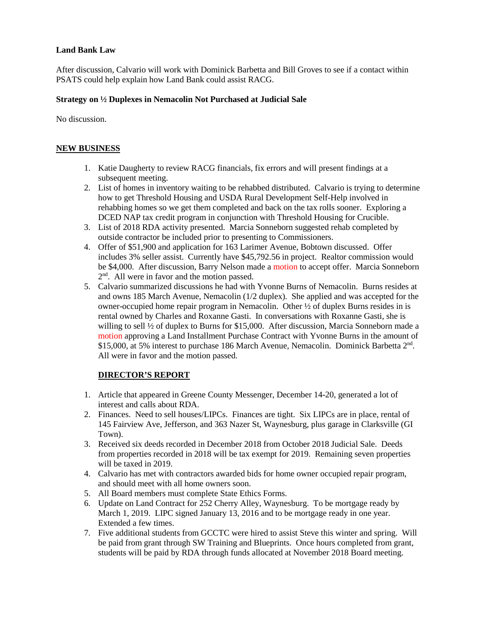#### **Land Bank Law**

After discussion, Calvario will work with Dominick Barbetta and Bill Groves to see if a contact within PSATS could help explain how Land Bank could assist RACG.

#### **Strategy on ½ Duplexes in Nemacolin Not Purchased at Judicial Sale**

No discussion.

#### **NEW BUSINESS**

- 1. Katie Daugherty to review RACG financials, fix errors and will present findings at a subsequent meeting.
- 2. List of homes in inventory waiting to be rehabbed distributed. Calvario is trying to determine how to get Threshold Housing and USDA Rural Development Self-Help involved in rehabbing homes so we get them completed and back on the tax rolls sooner. Exploring a DCED NAP tax credit program in conjunction with Threshold Housing for Crucible.
- 3. List of 2018 RDA activity presented. Marcia Sonneborn suggested rehab completed by outside contractor be included prior to presenting to Commissioners.
- 4. Offer of \$51,900 and application for 163 Larimer Avenue, Bobtown discussed. Offer includes 3% seller assist. Currently have \$45,792.56 in project. Realtor commission would be \$4,000. After discussion, Barry Nelson made a motion to accept offer. Marcia Sonneborn 2nd. All were in favor and the motion passed.
- 5. Calvario summarized discussions he had with Yvonne Burns of Nemacolin. Burns resides at and owns 185 March Avenue, Nemacolin (1/2 duplex). She applied and was accepted for the owner-occupied home repair program in Nemacolin. Other ½ of duplex Burns resides in is rental owned by Charles and Roxanne Gasti. In conversations with Roxanne Gasti, she is willing to sell ½ of duplex to Burns for \$15,000. After discussion, Marcia Sonneborn made a motion approving a Land Installment Purchase Contract with Yvonne Burns in the amount of \$15,000, at 5% interest to purchase 186 March Avenue, Nemacolin. Dominick Barbetta 2<sup>nd</sup>. All were in favor and the motion passed.

### **DIRECTOR'S REPORT**

- 1. Article that appeared in Greene County Messenger, December 14-20, generated a lot of interest and calls about RDA.
- 2. Finances. Need to sell houses/LIPCs. Finances are tight. Six LIPCs are in place, rental of 145 Fairview Ave, Jefferson, and 363 Nazer St, Waynesburg, plus garage in Clarksville (GI Town).
- 3. Received six deeds recorded in December 2018 from October 2018 Judicial Sale. Deeds from properties recorded in 2018 will be tax exempt for 2019. Remaining seven properties will be taxed in 2019.
- 4. Calvario has met with contractors awarded bids for home owner occupied repair program, and should meet with all home owners soon.
- 5. All Board members must complete State Ethics Forms.
- 6. Update on Land Contract for 252 Cherry Alley, Waynesburg. To be mortgage ready by March 1, 2019. LIPC signed January 13, 2016 and to be mortgage ready in one year. Extended a few times.
- 7. Five additional students from GCCTC were hired to assist Steve this winter and spring. Will be paid from grant through SW Training and Blueprints. Once hours completed from grant, students will be paid by RDA through funds allocated at November 2018 Board meeting.